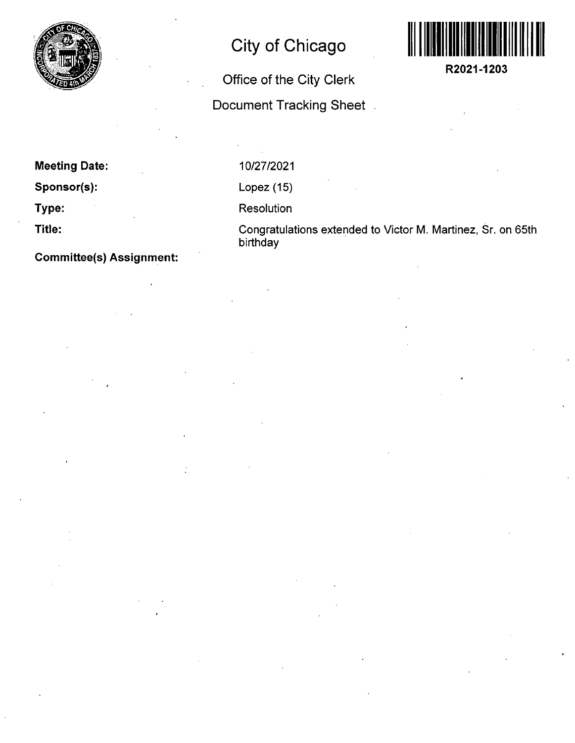

## **City of Chicago**

## **Office of the City Clerk**

## **Document Tracking Sheet**



**R2021-1203** 

**Meeting Date:** 

**Sponsor(s):** 

**Type:** 

**Title:** 

**Committee(s) Assignment:** 

10/27/2021

Lopez (15)

Resolution

Congratulations extended to Victor M. Martinez, Sr. on 65th birthday